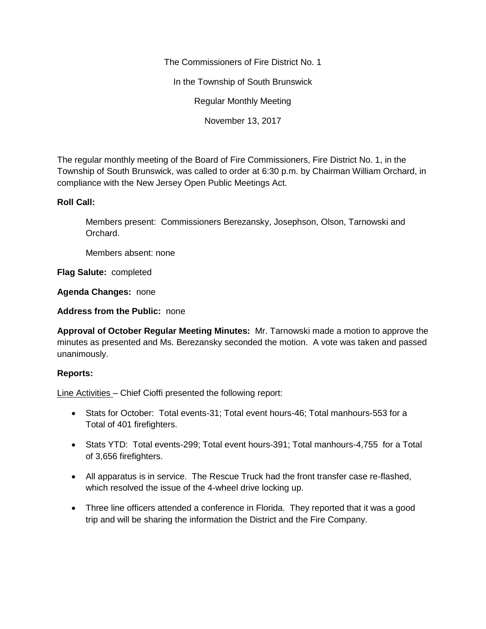The Commissioners of Fire District No. 1

In the Township of South Brunswick

Regular Monthly Meeting

November 13, 2017

The regular monthly meeting of the Board of Fire Commissioners, Fire District No. 1, in the Township of South Brunswick, was called to order at 6:30 p.m. by Chairman William Orchard, in compliance with the New Jersey Open Public Meetings Act.

## **Roll Call:**

Members present: Commissioners Berezansky, Josephson, Olson, Tarnowski and Orchard.

Members absent: none

**Flag Salute:** completed

**Agenda Changes:** none

**Address from the Public:** none

**Approval of October Regular Meeting Minutes:** Mr. Tarnowski made a motion to approve the minutes as presented and Ms. Berezansky seconded the motion. A vote was taken and passed unanimously.

## **Reports:**

Line Activities – Chief Cioffi presented the following report:

- Stats for October: Total events-31; Total event hours-46; Total manhours-553 for a Total of 401 firefighters.
- Stats YTD: Total events-299; Total event hours-391; Total manhours-4,755 for a Total of 3,656 firefighters.
- All apparatus is in service. The Rescue Truck had the front transfer case re-flashed, which resolved the issue of the 4-wheel drive locking up.
- Three line officers attended a conference in Florida. They reported that it was a good trip and will be sharing the information the District and the Fire Company.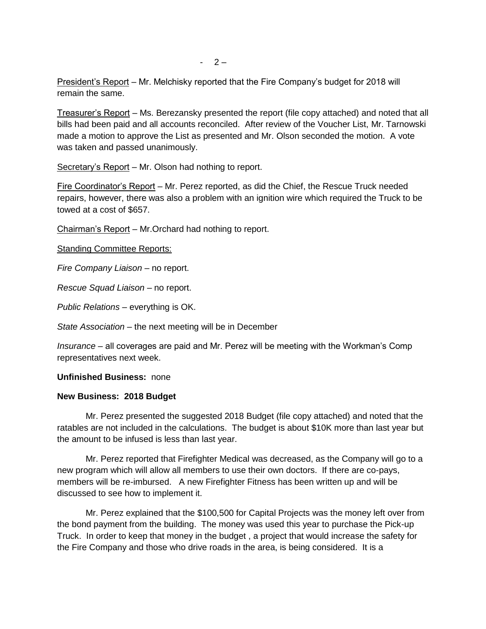President's Report – Mr. Melchisky reported that the Fire Company's budget for 2018 will remain the same.

Treasurer's Report – Ms. Berezansky presented the report (file copy attached) and noted that all bills had been paid and all accounts reconciled. After review of the Voucher List, Mr. Tarnowski made a motion to approve the List as presented and Mr. Olson seconded the motion. A vote was taken and passed unanimously.

Secretary's Report – Mr. Olson had nothing to report.

Fire Coordinator's Report – Mr. Perez reported, as did the Chief, the Rescue Truck needed repairs, however, there was also a problem with an ignition wire which required the Truck to be towed at a cost of \$657.

Chairman's Report – Mr.Orchard had nothing to report.

Standing Committee Reports:

*Fire Company Liaison –* no report.

*Rescue Squad Liaison* – no report.

*Public Relations* – everything is OK.

*State Association* – the next meeting will be in December

*Insurance* – all coverages are paid and Mr. Perez will be meeting with the Workman's Comp representatives next week.

## **Unfinished Business:** none

## **New Business: 2018 Budget**

Mr. Perez presented the suggested 2018 Budget (file copy attached) and noted that the ratables are not included in the calculations. The budget is about \$10K more than last year but the amount to be infused is less than last year.

Mr. Perez reported that Firefighter Medical was decreased, as the Company will go to a new program which will allow all members to use their own doctors. If there are co-pays, members will be re-imbursed. A new Firefighter Fitness has been written up and will be discussed to see how to implement it.

Mr. Perez explained that the \$100,500 for Capital Projects was the money left over from the bond payment from the building. The money was used this year to purchase the Pick-up Truck. In order to keep that money in the budget , a project that would increase the safety for the Fire Company and those who drive roads in the area, is being considered. It is a